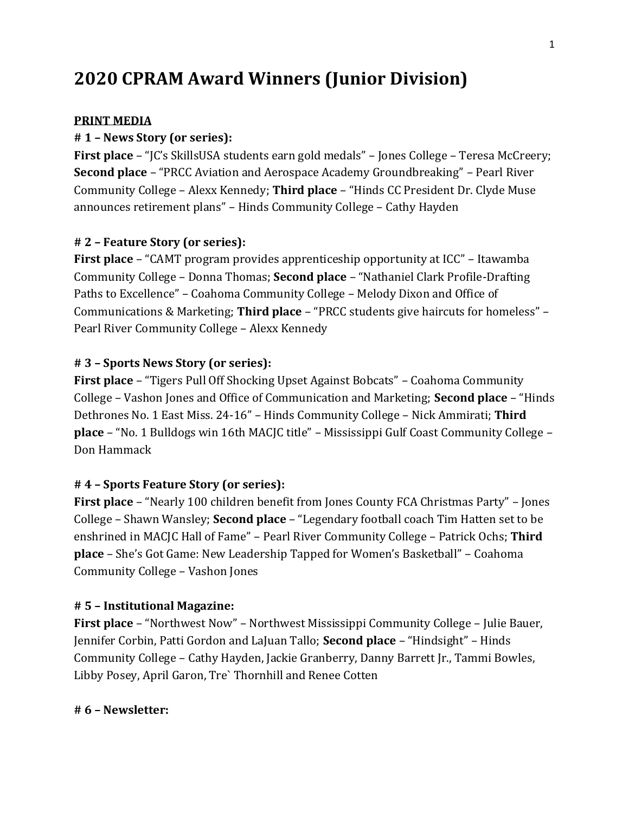# **2020 CPRAM Award Winners (Junior Division)**

## **PRINT MEDIA**

## **# 1 – News Story (or series):**

**First place** – "JC's SkillsUSA students earn gold medals" – Jones College – Teresa McCreery; **Second place** – "PRCC Aviation and Aerospace Academy Groundbreaking" – Pearl River Community College – Alexx Kennedy; **Third place** – "Hinds CC President Dr. Clyde Muse announces retirement plans" – Hinds Community College – Cathy Hayden

## **# 2 – Feature Story (or series):**

**First place** – "CAMT program provides apprenticeship opportunity at ICC" – Itawamba Community College – Donna Thomas; **Second place** – "Nathaniel Clark Profile-Drafting Paths to Excellence" – Coahoma Community College – Melody Dixon and Office of Communications & Marketing; **Third place** – "PRCC students give haircuts for homeless" – Pearl River Community College – Alexx Kennedy

#### **# 3 – Sports News Story (or series):**

**First place** – "Tigers Pull Off Shocking Upset Against Bobcats" – Coahoma Community College – Vashon Jones and Office of Communication and Marketing; **Second place** – "Hinds Dethrones No. 1 East Miss. 24-16" – Hinds Community College – Nick Ammirati; **Third place** – "No. 1 Bulldogs win 16th MACJC title" – Mississippi Gulf Coast Community College – Don Hammack

#### **# 4 – Sports Feature Story (or series):**

**First place** – "Nearly 100 children benefit from Jones County FCA Christmas Party" – Jones College – Shawn Wansley; **Second place** – "Legendary football coach Tim Hatten set to be enshrined in MACJC Hall of Fame" – Pearl River Community College – Patrick Ochs; **Third place** – She's Got Game: New Leadership Tapped for Women's Basketball" – Coahoma Community College – Vashon Jones

#### **# 5 – Institutional Magazine:**

**First place** – "Northwest Now" – Northwest Mississippi Community College – Julie Bauer, Jennifer Corbin, Patti Gordon and LaJuan Tallo; **Second place** – "Hindsight" – Hinds Community College – Cathy Hayden, Jackie Granberry, Danny Barrett Jr., Tammi Bowles, Libby Posey, April Garon, Tre` Thornhill and Renee Cotten

## **# 6 – Newsletter:**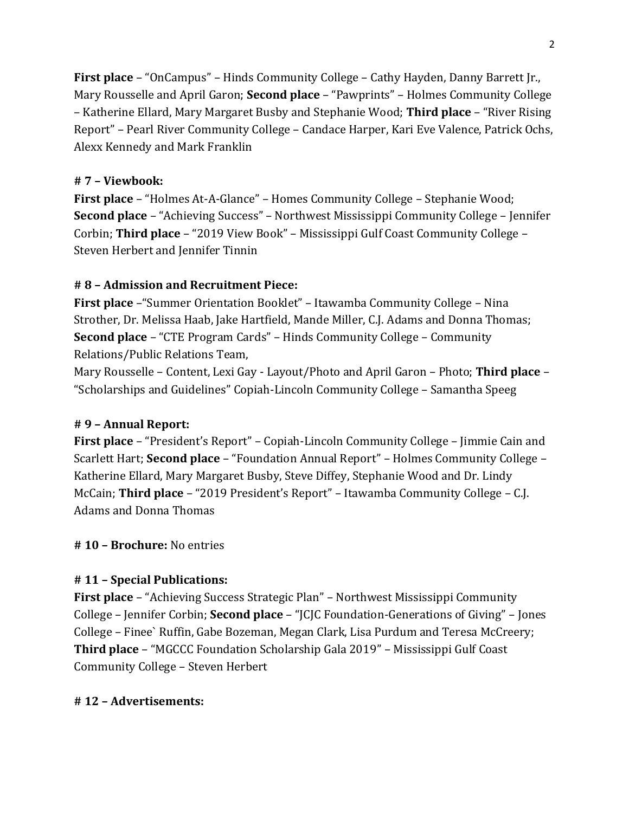**First place** – "OnCampus" – Hinds Community College – Cathy Hayden, Danny Barrett Jr., Mary Rousselle and April Garon; **Second place** – "Pawprints" – Holmes Community College – Katherine Ellard, Mary Margaret Busby and Stephanie Wood; **Third place** – "River Rising Report" – Pearl River Community College – Candace Harper, Kari Eve Valence, Patrick Ochs, Alexx Kennedy and Mark Franklin

## **# 7 – Viewbook:**

**First place** – "Holmes At-A-Glance" – Homes Community College – Stephanie Wood; **Second place** – "Achieving Success" – Northwest Mississippi Community College – Jennifer Corbin; **Third place** – "2019 View Book" – Mississippi Gulf Coast Community College – Steven Herbert and Jennifer Tinnin

## **# 8 – Admission and Recruitment Piece:**

**First place** –"Summer Orientation Booklet" – Itawamba Community College – Nina Strother, Dr. Melissa Haab, Jake Hartfield, Mande Miller, C.J. Adams and Donna Thomas; **Second place** – "CTE Program Cards" – Hinds Community College – Community Relations/Public Relations Team,

Mary Rousselle – Content, Lexi Gay - Layout/Photo and April Garon – Photo; **Third place** – "Scholarships and Guidelines" Copiah-Lincoln Community College – Samantha Speeg

#### **# 9 – Annual Report:**

**First place** – "President's Report" – Copiah-Lincoln Community College – Jimmie Cain and Scarlett Hart; **Second place** – "Foundation Annual Report" – Holmes Community College – Katherine Ellard, Mary Margaret Busby, Steve Diffey, Stephanie Wood and Dr. Lindy McCain; **Third place** – "2019 President's Report" – Itawamba Community College – C.J. Adams and Donna Thomas

#### **# 10 – Brochure:** No entries

# **# 11 – Special Publications:**

**First place** – "Achieving Success Strategic Plan" – Northwest Mississippi Community College – Jennifer Corbin; **Second place** – "JCJC Foundation-Generations of Giving" – Jones College – Finee` Ruffin, Gabe Bozeman, Megan Clark, Lisa Purdum and Teresa McCreery; **Third place** – "MGCCC Foundation Scholarship Gala 2019" – Mississippi Gulf Coast Community College – Steven Herbert

## **# 12 – Advertisements:**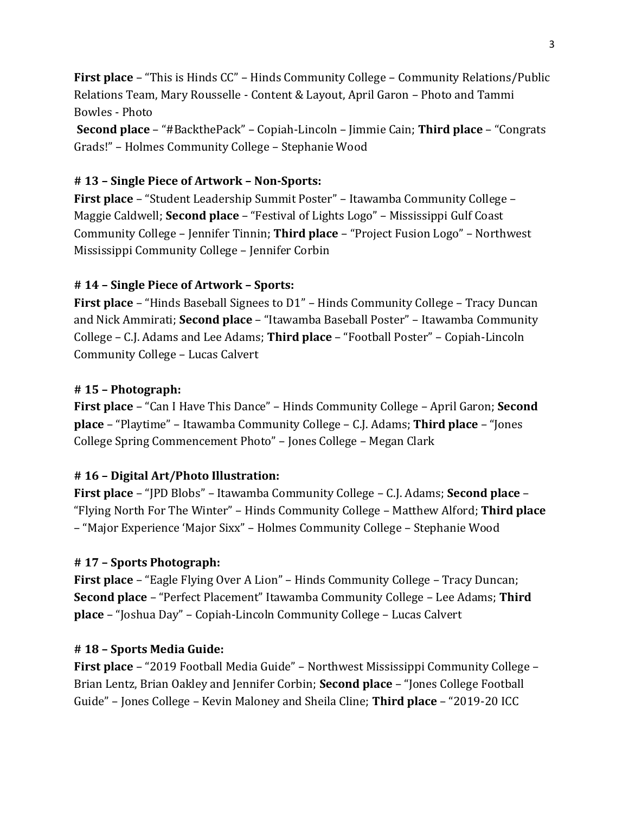**First place** – "This is Hinds CC" – Hinds Community College – Community Relations/Public Relations Team, Mary Rousselle - Content & Layout, April Garon – Photo and Tammi Bowles - Photo

**Second place** – "#BackthePack" – Copiah-Lincoln – Jimmie Cain; **Third place** – "Congrats Grads!" – Holmes Community College – Stephanie Wood

# **# 13 – Single Piece of Artwork – Non-Sports:**

**First place** – "Student Leadership Summit Poster" – Itawamba Community College – Maggie Caldwell; **Second place** – "Festival of Lights Logo" – Mississippi Gulf Coast Community College – Jennifer Tinnin; **Third place** – "Project Fusion Logo" – Northwest Mississippi Community College – Jennifer Corbin

# **# 14 – Single Piece of Artwork – Sports:**

**First place** – "Hinds Baseball Signees to D1" – Hinds Community College – Tracy Duncan and Nick Ammirati; **Second place** – "Itawamba Baseball Poster" – Itawamba Community College – C.J. Adams and Lee Adams; **Third place** – "Football Poster" – Copiah-Lincoln Community College – Lucas Calvert

# **# 15 – Photograph:**

**First place** – "Can I Have This Dance" – Hinds Community College – April Garon; **Second place** – "Playtime" – Itawamba Community College – C.J. Adams; **Third place** – "Jones College Spring Commencement Photo" – Jones College – Megan Clark

# **# 16 – Digital Art/Photo Illustration:**

**First place** – "JPD Blobs" – Itawamba Community College – C.J. Adams; **Second place** – "Flying North For The Winter" – Hinds Community College – Matthew Alford; **Third place** – "Major Experience 'Major Sixx" – Holmes Community College – Stephanie Wood

# **# 17 – Sports Photograph:**

**First place** – "Eagle Flying Over A Lion" – Hinds Community College – Tracy Duncan; **Second place** – "Perfect Placement" Itawamba Community College – Lee Adams; **Third place** – "Joshua Day" – Copiah-Lincoln Community College – Lucas Calvert

# **# 18 – Sports Media Guide:**

**First place** – "2019 Football Media Guide" – Northwest Mississippi Community College – Brian Lentz, Brian Oakley and Jennifer Corbin; **Second place** – "Jones College Football Guide" – Jones College – Kevin Maloney and Sheila Cline; **Third place** – "2019-20 ICC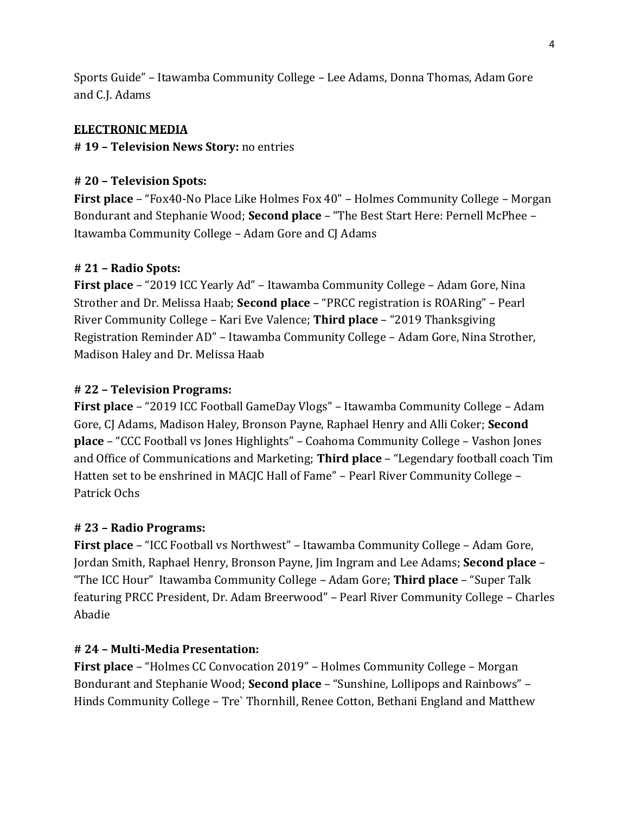Sports Guide" – Itawamba Community College – Lee Adams, Donna Thomas, Adam Gore and C.J. Adams

## **ELECTRONIC MEDIA**

## **# 19 – Television News Story:** no entries

## **# 20 – Television Spots:**

**First place** – "Fox40-No Place Like Holmes Fox 40" – Holmes Community College – Morgan Bondurant and Stephanie Wood; **Second place** – "The Best Start Here: Pernell McPhee – Itawamba Community College – Adam Gore and CJ Adams

#### **# 21 – Radio Spots:**

**First place** – "2019 ICC Yearly Ad" – Itawamba Community College – Adam Gore, Nina Strother and Dr. Melissa Haab; **Second place** – "PRCC registration is ROARing" – Pearl River Community College – Kari Eve Valence; **Third place** – "2019 Thanksgiving Registration Reminder AD" – Itawamba Community College – Adam Gore, Nina Strother, Madison Haley and Dr. Melissa Haab

#### **# 22 – Television Programs:**

**First place** – "2019 ICC Football GameDay Vlogs" – Itawamba Community College – Adam Gore, CJ Adams, Madison Haley, Bronson Payne, Raphael Henry and Alli Coker; **Second place** – "CCC Football vs Jones Highlights" – Coahoma Community College – Vashon Jones and Office of Communications and Marketing; **Third place** – "Legendary football coach Tim Hatten set to be enshrined in MACJC Hall of Fame" – Pearl River Community College – Patrick Ochs

#### **# 23 – Radio Programs:**

**First place** – "ICC Football vs Northwest" – Itawamba Community College – Adam Gore, Jordan Smith, Raphael Henry, Bronson Payne, Jim Ingram and Lee Adams; **Second place** – "The ICC Hour" Itawamba Community College – Adam Gore; **Third place** – "Super Talk featuring PRCC President, Dr. Adam Breerwood" – Pearl River Community College – Charles Abadie

## **# 24 – Multi-Media Presentation:**

**First place** – "Holmes CC Convocation 2019" – Holmes Community College – Morgan Bondurant and Stephanie Wood; **Second place** – "Sunshine, Lollipops and Rainbows" – Hinds Community College – Tre` Thornhill, Renee Cotton, Bethani England and Matthew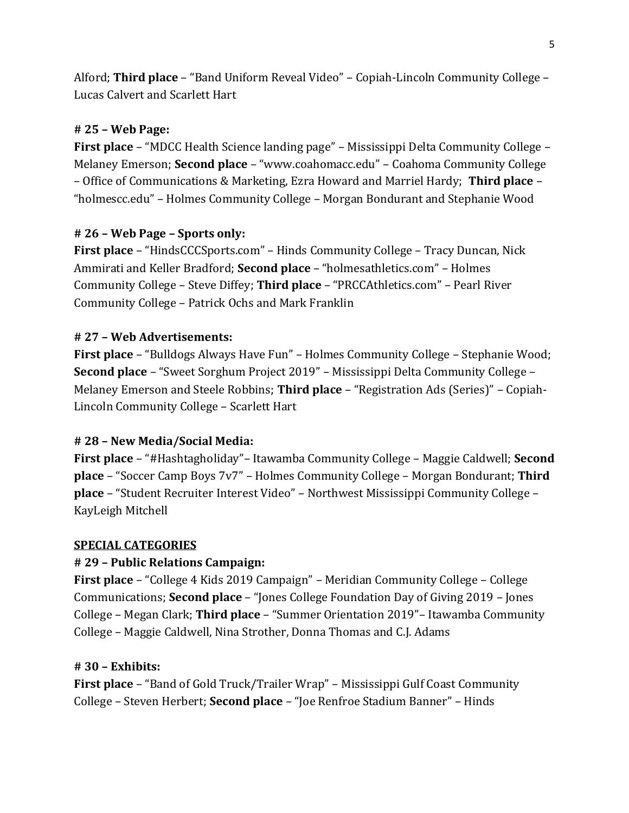Alford; **Third place** – "Band Uniform Reveal Video" – Copiah-Lincoln Community College – Lucas Calvert and Scarlett Hart

# **# 25 – Web Page:**

**First place** – "MDCC Health Science landing page" – Mississippi Delta Community College – Melaney Emerson; **Second place** – "www.coahomacc.edu" – Coahoma Community College – Office of Communications & Marketing, Ezra Howard and Marriel Hardy; **Third place** – "holmescc.edu" – Holmes Community College – Morgan Bondurant and Stephanie Wood

# **# 26 – Web Page – Sports only:**

**First place** – "HindsCCCSports.com" – Hinds Community College – Tracy Duncan, Nick Ammirati and Keller Bradford; **Second place** – "holmesathletics.com" – Holmes Community College – Steve Diffey; **Third place** – "PRCCAthletics.com" – Pearl River Community College – Patrick Ochs and Mark Franklin

# **# 27 – Web Advertisements:**

**First place** – "Bulldogs Always Have Fun" – Holmes Community College – Stephanie Wood; **Second place** – "Sweet Sorghum Project 2019" – Mississippi Delta Community College – Melaney Emerson and Steele Robbins; **Third place** – "Registration Ads (Series)" – Copiah-Lincoln Community College – Scarlett Hart

# **# 28 – New Media/Social Media:**

**First place** – "#Hashtagholiday"– Itawamba Community College – Maggie Caldwell; **Second place** – "Soccer Camp Boys 7v7" – Holmes Community College – Morgan Bondurant; **Third place** – "Student Recruiter Interest Video" – Northwest Mississippi Community College – KayLeigh Mitchell

#### **SPECIAL CATEGORIES**

# **# 29 – Public Relations Campaign:**

**First place** – "College 4 Kids 2019 Campaign" – Meridian Community College – College Communications; **Second place** – "Jones College Foundation Day of Giving 2019 – Jones College – Megan Clark; **Third place** – "Summer Orientation 2019"– Itawamba Community College – Maggie Caldwell, Nina Strother, Donna Thomas and C.J. Adams

#### **# 30 – Exhibits:**

**First place** – "Band of Gold Truck/Trailer Wrap" – Mississippi Gulf Coast Community College – Steven Herbert; **Second place** – "Joe Renfroe Stadium Banner" – Hinds